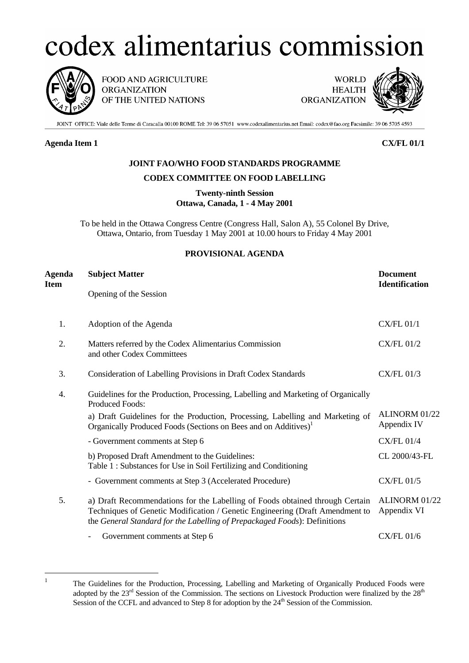# codex alimentarius commission



FOOD AND AGRICULTURE **ORGANIZATION** OF THE UNITED NATIONS

**WORLD HEALTH** ORGANIZATION



JOINT OFFICE: Viale delle Terme di Caracalla 00100 ROME Tel: 39 06 57051 www.codexalimentarius.net Email: codex@fao.org Facsimile: 39 06 5705 4593

# **Agenda Item 1 CX/FL 01/1**

# **JOINT FAO/WHO FOOD STANDARDS PROGRAMME**

# **CODEX COMMITTEE ON FOOD LABELLING**

**Twenty-ninth Session Ottawa, Canada, 1 - 4 May 2001**

To be held in the Ottawa Congress Centre (Congress Hall, Salon A), 55 Colonel By Drive, Ottawa, Ontario, from Tuesday 1 May 2001 at 10.00 hours to Friday 4 May 2001

# **PROVISIONAL AGENDA**

| Agenda<br>Item | <b>Subject Matter</b>                                                                                                                                                                                                                     | <b>Document</b><br><b>Identification</b> |
|----------------|-------------------------------------------------------------------------------------------------------------------------------------------------------------------------------------------------------------------------------------------|------------------------------------------|
|                | Opening of the Session                                                                                                                                                                                                                    |                                          |
| 1.             | Adoption of the Agenda                                                                                                                                                                                                                    | <b>CX/FL 01/1</b>                        |
| 2.             | Matters referred by the Codex Alimentarius Commission<br>and other Codex Committees                                                                                                                                                       | <b>CX/FL 01/2</b>                        |
| 3.             | Consideration of Labelling Provisions in Draft Codex Standards                                                                                                                                                                            | <b>CX/FL 01/3</b>                        |
| 4.             | Guidelines for the Production, Processing, Labelling and Marketing of Organically<br><b>Produced Foods:</b>                                                                                                                               |                                          |
|                | a) Draft Guidelines for the Production, Processing, Labelling and Marketing of<br>Organically Produced Foods (Sections on Bees and on Additives) <sup>1</sup>                                                                             | ALINORM 01/22<br>Appendix IV             |
|                | - Government comments at Step 6                                                                                                                                                                                                           | <b>CX/FL 01/4</b>                        |
|                | b) Proposed Draft Amendment to the Guidelines:<br>Table 1: Substances for Use in Soil Fertilizing and Conditioning                                                                                                                        | CL 2000/43-FL                            |
|                | - Government comments at Step 3 (Accelerated Procedure)                                                                                                                                                                                   | <b>CX/FL 01/5</b>                        |
| 5.             | a) Draft Recommendations for the Labelling of Foods obtained through Certain<br>Techniques of Genetic Modification / Genetic Engineering (Draft Amendment to<br>the General Standard for the Labelling of Prepackaged Foods): Definitions | ALINORM 01/22<br>Appendix VI             |
|                | Government comments at Step 6<br>$\overline{\phantom{0}}$                                                                                                                                                                                 | <b>CX/FL 01/6</b>                        |

<span id="page-0-0"></span> 1

The Guidelines for the Production, Processing, Labelling and Marketing of Organically Produced Foods were adopted by the 23<sup>rd</sup> Session of the Commission. The sections on Livestock Production were finalized by the 28<sup>th</sup> Session of the CCFL and advanced to Step 8 for adoption by the  $24<sup>th</sup>$  Session of the Commission.